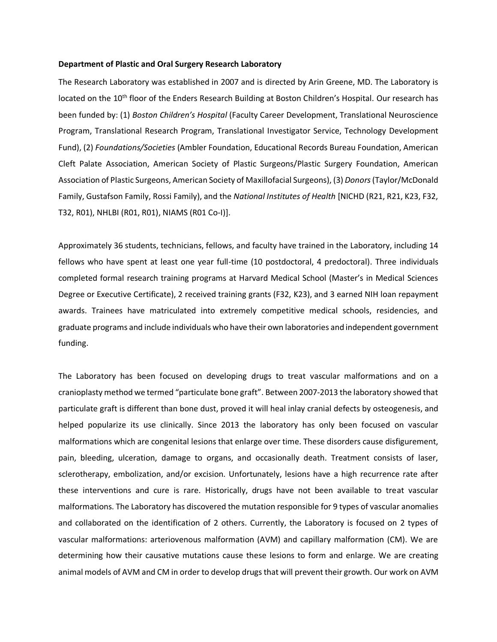## **Department of Plastic and Oral Surgery Research Laboratory**

The Research Laboratory was established in 2007 and is directed by Arin Greene, MD. The Laboratory is located on the 10<sup>th</sup> floor of the Enders Research Building at Boston Children's Hospital. Our research has been funded by: (1) *Boston Children's Hospital* (Faculty Career Development, Translational Neuroscience Program, Translational Research Program, Translational Investigator Service, Technology Development Fund), (2) *Foundations/Societies* (Ambler Foundation, Educational Records Bureau Foundation, American Cleft Palate Association, American Society of Plastic Surgeons/Plastic Surgery Foundation, American Association of Plastic Surgeons, American Society of Maxillofacial Surgeons), (3) *Donors* (Taylor/McDonald Family, Gustafson Family, Rossi Family), and the *National Institutes of Health* [NICHD (R21, R21, K23, F32, T32, R01), NHLBI (R01, R01), NIAMS (R01 Co-I)].

Approximately 36 students, technicians, fellows, and faculty have trained in the Laboratory, including 14 fellows who have spent at least one year full-time (10 postdoctoral, 4 predoctoral). Three individuals completed formal research training programs at Harvard Medical School (Master's in Medical Sciences Degree or Executive Certificate), 2 received training grants (F32, K23), and 3 earned NIH loan repayment awards. Trainees have matriculated into extremely competitive medical schools, residencies, and graduate programs and include individuals who have their own laboratories and independent government funding.

The Laboratory has been focused on developing drugs to treat vascular malformations and on a cranioplasty method we termed "particulate bone graft". Between 2007-2013 the laboratory showed that particulate graft is different than bone dust, proved it will heal inlay cranial defects by osteogenesis, and helped popularize its use clinically. Since 2013 the laboratory has only been focused on vascular malformations which are congenital lesions that enlarge over time. These disorders cause disfigurement, pain, bleeding, ulceration, damage to organs, and occasionally death. Treatment consists of laser, sclerotherapy, embolization, and/or excision. Unfortunately, lesions have a high recurrence rate after these interventions and cure is rare. Historically, drugs have not been available to treat vascular malformations. The Laboratory has discovered the mutation responsible for 9 types of vascular anomalies and collaborated on the identification of 2 others. Currently, the Laboratory is focused on 2 types of vascular malformations: arteriovenous malformation (AVM) and capillary malformation (CM). We are determining how their causative mutations cause these lesions to form and enlarge. We are creating animal models of AVM and CM in order to develop drugs that will prevent their growth. Our work on AVM